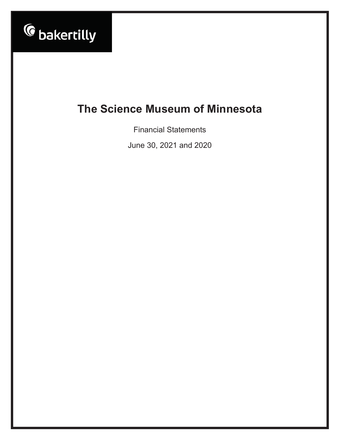

**Financial Statements** 

June 30, 2021 and 2020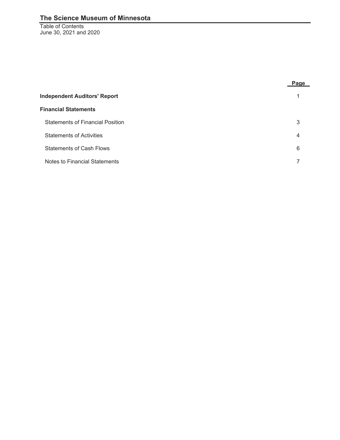Table of Contents June 30, 2021 and 2020

|                                         | Page |
|-----------------------------------------|------|
| <b>Independent Auditors' Report</b>     |      |
| <b>Financial Statements</b>             |      |
| <b>Statements of Financial Position</b> | 3    |
| <b>Statements of Activities</b>         | 4    |
| <b>Statements of Cash Flows</b>         | 6    |
| Notes to Financial Statements           |      |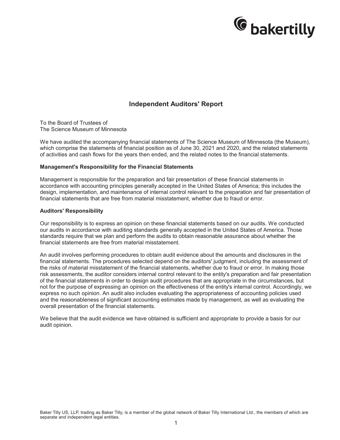

## **Independent Auditors' Report**

To the Board of Trustees of The Science Museum of Minnesota

We have audited the accompanying financial statements of The Science Museum of Minnesota (the Museum), which comprise the statements of financial position as of June 30, 2021 and 2020, and the related statements of activities and cash flows for the years then ended, and the related notes to the financial statements.

#### **Management's Responsibility for the Financial Statements**

Management is responsible for the preparation and fair presentation of these financial statements in accordance with accounting principles generally accepted in the United States of America; this includes the design, implementation, and maintenance of internal control relevant to the preparation and fair presentation of financial statements that are free from material misstatement, whether due to fraud or error.

#### **Auditors' Responsibility**

Our responsibility is to express an opinion on these financial statements based on our audits. We conducted our audits in accordance with auditing standards generally accepted in the United States of America. Those standards require that we plan and perform the audits to obtain reasonable assurance about whether the financial statements are free from material misstatement.

An audit involves performing procedures to obtain audit evidence about the amounts and disclosures in the financial statements. The procedures selected depend on the auditors' judgment, including the assessment of the risks of material misstatement of the financial statements, whether due to fraud or error. In making those risk assessments, the auditor considers internal control relevant to the entity's preparation and fair presentation of the financial statements in order to design audit procedures that are appropriate in the circumstances, but not for the purpose of expressing an opinion on the effectiveness of the entity's internal control. Accordingly, we express no such opinion. An audit also includes evaluating the appropriateness of accounting policies used and the reasonableness of significant accounting estimates made by management, as well as evaluating the overall presentation of the financial statements.

We believe that the audit evidence we have obtained is sufficient and appropriate to provide a basis for our audit opinion.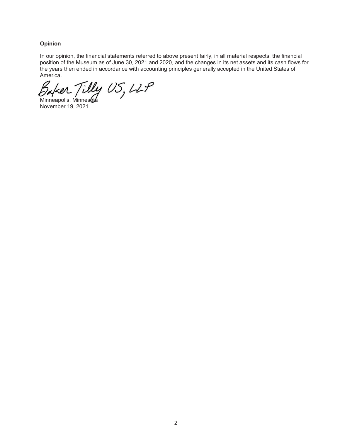#### **Opinion**

In our opinion, the financial statements referred to above present fairly, in all material respects, the financial position of the Museum as of June 30, 2021 and 2020, and the changes in its net assets and its cash flows for the years then ended in accordance with accounting principles generally accepted in the United States of America.

Baker Tilly US, LLP

November 19, 2021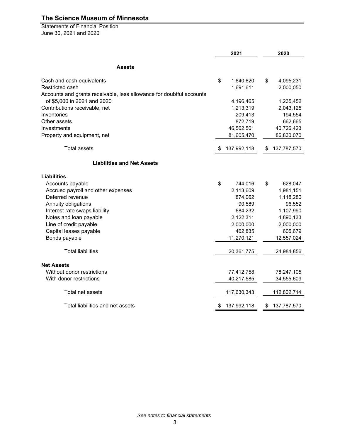Statements of Financial Position June 30, 2021 and 2020

|                                                                      | 2021            |    | 2020        |
|----------------------------------------------------------------------|-----------------|----|-------------|
| <b>Assets</b>                                                        |                 |    |             |
| Cash and cash equivalents                                            | \$<br>1,640,620 | \$ | 4,095,231   |
| Restricted cash                                                      | 1,691,611       |    | 2,000,050   |
| Accounts and grants receivable, less allowance for doubtful accounts |                 |    |             |
| of \$5,000 in 2021 and 2020                                          | 4,196,465       |    | 1,235,452   |
| Contributions receivable, net                                        | 1,213,319       |    | 2,043,125   |
| Inventories                                                          | 209,413         |    | 194,554     |
| Other assets                                                         | 872,719         |    | 662,665     |
| Investments                                                          | 46,562,501      |    | 40,726,423  |
| Property and equipment, net                                          | 81,605,470      |    | 86,830,070  |
| <b>Total assets</b>                                                  | 137,992,118     |    | 137,787,570 |
| <b>Liabilities and Net Assets</b>                                    |                 |    |             |
| <b>Liabilities</b>                                                   |                 |    |             |
| Accounts payable                                                     | \$<br>744,016   | \$ | 628,047     |
| Accrued payroll and other expenses                                   | 2,113,609       |    | 1,981,151   |
| Deferred revenue                                                     | 874,062         |    | 1,118,280   |
| Annuity obligations                                                  | 90,589          |    | 96,552      |
| Interest rate swaps liability                                        | 684,232         |    | 1,107,990   |
| Notes and loan payable                                               | 2,122,311       |    | 4,890,133   |
| Line of credit payable                                               | 2,000,000       |    | 2,000,000   |
| Capital leases payable                                               | 462,835         |    | 605,679     |
| Bonds payable                                                        | 11,270,121      |    | 12,557,024  |
| <b>Total liabilities</b>                                             | 20,361,775      |    | 24,984,856  |
| <b>Net Assets</b>                                                    |                 |    |             |
| Without donor restrictions                                           | 77,412,758      |    | 78,247,105  |
| With donor restrictions                                              | 40,217,585      |    | 34,555,609  |
| Total net assets                                                     | 117,630,343     |    | 112,802,714 |
| Total liabilities and net assets                                     | 137,992,118     | S  | 137,787,570 |

*See notes to financial statements*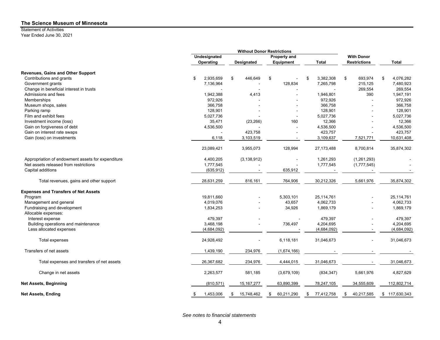## Statement of Activities

Year Ended June 30, 2021

|                                                                | Undesignated            |                   | Property and             |                      | <b>With Donor</b>   |                      |
|----------------------------------------------------------------|-------------------------|-------------------|--------------------------|----------------------|---------------------|----------------------|
|                                                                | Operating               | <b>Designated</b> | Equipment                | <b>Total</b>         | <b>Restrictions</b> | <b>Total</b>         |
| Revenues, Gains and Other Support                              |                         |                   |                          |                      |                     |                      |
| Contributions and grants                                       | 2,935,659<br>\$         | 446,649<br>\$     | \$                       | 3,382,308<br>\$      | \$<br>693,974       | 4,076,282<br>\$      |
| Government grants                                              | 7,136,964               |                   | 128,834                  | 7,265,798            | 215,125             | 7,480,923            |
| Change in beneficial interest in trusts                        |                         |                   |                          |                      | 269,554             | 269,554              |
| Admissions and fees                                            | 1,942,388               | 4,413             |                          | 1,946,801            | 390                 | 1,947,191            |
| Memberships                                                    | 972,926                 |                   |                          | 972,926              |                     | 972,926              |
| Museum shops, sales                                            | 366,758                 |                   |                          | 366,758              |                     | 366,758              |
| Parking ramp                                                   | 128,901                 |                   |                          | 128,901              |                     | 128,901              |
| Film and exhibit fees                                          | 5,027,736               |                   |                          | 5,027,736            |                     | 5,027,736            |
| Investment income (loss)                                       | 35,471                  | (23, 266)         | 160                      | 12,366               |                     | 12,366               |
| Gain on forgiveness of debt                                    | 4,536,500               |                   |                          | 4,536,500            |                     | 4,536,500            |
| Gain on interest rate swaps                                    |                         | 423,758           |                          | 423,757              |                     | 423,757              |
| Gain (loss) on investments                                     | 6,118                   | 3,103,519         | $\overline{\phantom{a}}$ | 3,109,637            | 7,521,771           | 10,631,408           |
|                                                                |                         |                   |                          |                      |                     |                      |
|                                                                | 23,089,421              | 3,955,073         | 128,994                  | 27,173,488           | 8,700,814           | 35,874,302           |
| Appropriation of endowment assets for expenditure              | 4,400,205               | (3, 138, 912)     |                          | 1,261,293            | (1,261,293)         |                      |
| Net assets released from restrictions                          | 1,777,545               |                   |                          | 1,777,545            | (1,777,545)         |                      |
| Capital additions                                              | (635, 912)              |                   | 635,912                  |                      |                     |                      |
| Total revenues, gains and other support                        | 28,631,259              | 816,161           | 764,906                  | 30,212,326           | 5,661,976           | 35,874,302           |
|                                                                |                         |                   |                          |                      |                     |                      |
| <b>Expenses and Transfers of Net Assets</b>                    |                         |                   |                          | 25,114,761           |                     | 25,114,761           |
| Program                                                        | 19,811,660<br>4,019,076 |                   | 5,303,101                | 4,062,733            |                     | 4,062,733            |
| Management and general                                         |                         |                   | 43,657                   |                      |                     | 1,869,179            |
| Fundraising and development                                    | 1,834,253               |                   | 34,926                   | 1,869,179            |                     |                      |
| Allocable expenses:                                            |                         |                   |                          |                      |                     |                      |
| Interest expense                                               | 479,397<br>3,468,198    |                   |                          | 479,397<br>4,204,695 |                     | 479,397<br>4,204,695 |
| Building operations and maintenance<br>Less allocated expenses |                         |                   | 736,497                  |                      |                     |                      |
|                                                                | (4,684,092)             |                   |                          | (4,684,092)          |                     | (4,684,092)          |
| Total expenses                                                 | 24,928,492              |                   | 6,118,181                | 31,046,673           |                     | 31,046,673           |
| Transfers of net assets                                        | 1,439,190               | 234,976           | (1,674,166)              |                      |                     |                      |
| Total expenses and transfers of net assets                     | 26,367,682              | 234,976           | 4,444,015                | 31,046,673           |                     | 31,046,673           |
| Change in net assets                                           | 2,263,577               | 581,185           | (3,679,109)              | (834, 347)           | 5,661,976           | 4,827,629            |
| <b>Net Assets, Beginning</b>                                   | (810, 571)              | 15, 167, 277      | 63,890,399               | 78,247,105           | 34,555,609          | 112,802,714          |
| <b>Net Assets, Ending</b>                                      | 1,453,006<br>\$         | 15,748,462<br>\$  | 60,211,290<br>\$         | 77,412,758<br>\$     | 40,217,585<br>\$    | \$117,630,343        |

*See notes to financial statements*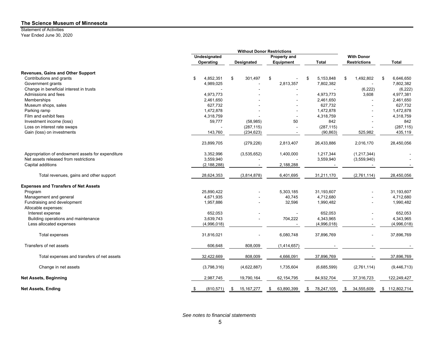## Statement of Activities

Year Ended June 30, 2020

|                                                   | <b>Without Donor Restrictions</b> |                    |                          |                  |                     |                 |
|---------------------------------------------------|-----------------------------------|--------------------|--------------------------|------------------|---------------------|-----------------|
|                                                   | Undesignated                      |                    | <b>Property and</b>      |                  | <b>With Donor</b>   |                 |
|                                                   | Operating                         | Designated         | Equipment                | <b>Total</b>     | <b>Restrictions</b> | <b>Total</b>    |
| Revenues, Gains and Other Support                 |                                   |                    |                          |                  |                     |                 |
| Contributions and grants                          | 4,852,351<br>\$                   | \$<br>301,497      | \$                       | 5,153,848<br>\$  | 1,492,802<br>\$     | 6,646,650<br>\$ |
| Government grants                                 | 4,989,025                         |                    | 2,813,357                | 7,802,382        |                     | 7,802,382       |
| Change in beneficial interest in trusts           |                                   |                    |                          |                  | (6, 222)            | (6, 222)        |
| Admissions and fees                               | 4,973,773                         |                    |                          | 4,973,773        | 3,608               | 4,977,381       |
| Memberships                                       | 2,461,650                         |                    |                          | 2,461,650        |                     | 2,461,650       |
| Museum shops, sales                               | 627,732                           |                    |                          | 627,732          |                     | 627,732         |
| Parking ramp                                      | 1,472,878                         |                    |                          | 1,472,878        |                     | 1,472,878       |
| Film and exhibit fees                             | 4,318,759                         |                    | $\overline{\phantom{a}}$ | 4,318,759        |                     | 4,318,759       |
| Investment income (loss)                          | 59,777                            | (58, 985)          | 50                       | 842              |                     | 842             |
| Loss on interest rate swaps                       |                                   | (287, 115)         |                          | (287, 115)       |                     | (287, 115)      |
| Gain (loss) on investments                        | 143,760                           | (234, 623)         |                          | (90, 863)        | 525,982             | 435,119         |
|                                                   | 23,899,705                        | (279, 226)         | 2,813,407                | 26,433,886       | 2,016,170           | 28,450,056      |
| Appropriation of endowment assets for expenditure | 3.352.996                         | (3,535,652)        | 1,400,000                | 1,217,344        | (1,217,344)         |                 |
| Net assets released from restrictions             | 3,559,940                         |                    |                          | 3,559,940        | (3,559,940)         |                 |
| Capital additions                                 | (2, 188, 288)                     |                    | 2,188,288                |                  |                     |                 |
| Total revenues, gains and other support           | 28,624,353                        | (3,814,878)        | 6,401,695                | 31,211,170       | (2,761,114)         | 28,450,056      |
| <b>Expenses and Transfers of Net Assets</b>       |                                   |                    |                          |                  |                     |                 |
| Program                                           | 25,890,422                        |                    | 5,303,185                | 31,193,607       |                     | 31,193,607      |
| Management and general                            | 4,671,935                         |                    | 40,745                   | 4,712,680        |                     | 4,712,680       |
| Fundraising and development                       | 1,957,886                         |                    | 32,596                   | 1,990,482        |                     | 1,990,482       |
| Allocable expenses:                               |                                   |                    |                          |                  |                     |                 |
| Interest expense                                  | 652,053                           |                    |                          | 652,053          |                     | 652,053         |
| Building operations and maintenance               | 3,639,743                         |                    | 704,222                  | 4,343,965        |                     | 4,343,965       |
| Less allocated expenses                           | (4,996,018)                       |                    |                          | (4,996,018)      |                     | (4,996,018)     |
| Total expenses                                    | 31,816,021                        |                    | 6,080,748                | 37,896,769       |                     | 37,896,769      |
| Transfers of net assets                           | 606,648                           | 808,009            | (1,414,657)              |                  |                     |                 |
| Total expenses and transfers of net assets        | 32,422,669                        | 808,009            | 4,666,091                | 37,896,769       |                     | 37,896,769      |
| Change in net assets                              | (3,798,316)                       | (4,622,887)        | 1,735,604                | (6,685,599)      | (2,761,114)         | (9,446,713)     |
| <b>Net Assets, Beginning</b>                      | 2,987,745                         | 19,790,164         | 62, 154, 795             | 84,932,704       | 37,316,723          | 122,249,427     |
| Net Assets, Ending                                | (810, 571)<br>\$                  | 15, 167, 277<br>\$ | 63,890,399<br>\$         | 78,247,105<br>\$ | 34,555,609<br>S     | \$112,802,714   |

*See notes to financial statements*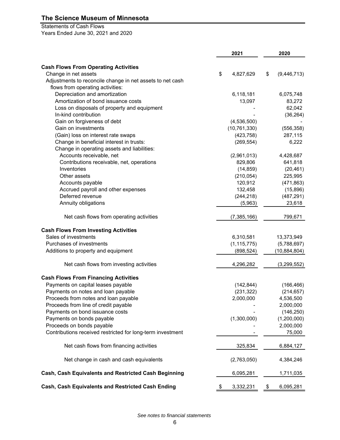## Statements of Cash Flows

Years Ended June 30, 2021 and 2020

|                                                            | 2021 |                |    | 2020           |
|------------------------------------------------------------|------|----------------|----|----------------|
| <b>Cash Flows From Operating Activities</b>                |      |                |    |                |
| Change in net assets                                       | \$   | 4,827,629      | \$ | (9,446,713)    |
| Adjustments to reconcile change in net assets to net cash  |      |                |    |                |
| flows from operating activities:                           |      |                |    |                |
| Depreciation and amortization                              |      | 6,118,181      |    | 6,075,748      |
| Amortization of bond issuance costs                        |      | 13,097         |    | 83,272         |
| Loss on disposals of property and equipment                |      |                |    | 62,042         |
| In-kind contribution                                       |      |                |    | (36, 264)      |
| Gain on forgiveness of debt                                |      | (4,536,500)    |    |                |
| Gain on investments                                        |      | (10, 761, 330) |    | (556, 358)     |
| (Gain) loss on interest rate swaps                         |      | (423, 758)     |    | 287,115        |
| Change in beneficial interest in trusts:                   |      | (269, 554)     |    | 6,222          |
| Change in operating assets and liabilities:                |      |                |    |                |
| Accounts receivable, net                                   |      | (2,961,013)    |    | 4,428,687      |
| Contributions receivable, net, operations                  |      | 829,806        |    | 641,818        |
| Inventories                                                |      | (14, 859)      |    | (20, 461)      |
| Other assets                                               |      | (210, 054)     |    | 225,995        |
| Accounts payable                                           |      | 120,912        |    | (471, 863)     |
| Accrued payroll and other expenses                         |      | 132,458        |    | (15,896)       |
| Deferred revenue                                           |      | (244, 218)     |    | (487, 291)     |
| Annuity obligations                                        |      | (5,963)        |    | 23,618         |
| Net cash flows from operating activities                   |      | (7,385,166)    |    | 799,671        |
| <b>Cash Flows From Investing Activities</b>                |      |                |    |                |
| Sales of investments                                       |      | 6,310,581      |    | 13,373,949     |
| Purchases of investments                                   |      | (1, 115, 775)  |    | (5,788,697)    |
| Additions to property and equipment                        |      | (898, 524)     |    | (10, 884, 804) |
| Net cash flows from investing activities                   |      | 4,296,282      |    | (3,299,552)    |
| <b>Cash Flows From Financing Activities</b>                |      |                |    |                |
| Payments on capital leases payable                         |      | (142, 844)     |    | (166, 466)     |
| Payments on notes and loan payable                         |      | (231, 322)     |    | (214, 657)     |
| Proceeds from notes and loan payable                       |      | 2,000,000      |    | 4,536,500      |
| Proceeds from line of credit payable                       |      |                |    | 2,000,000      |
| Payments on bond issuance costs                            |      |                |    | (146, 250)     |
| Payments on bonds payable                                  |      | (1,300,000)    |    | (1,200,000)    |
| Proceeds on bonds payable                                  |      |                |    | 2,000,000      |
| Contributions received restricted for long-term investment |      |                |    | 75,000         |
| Net cash flows from financing activities                   |      | 325,834        |    | 6,884,127      |
| Net change in cash and cash equivalents                    |      | (2,763,050)    |    | 4,384,246      |
| Cash, Cash Equivalents and Restricted Cash Beginning       |      | 6,095,281      |    | 1,711,035      |
| Cash, Cash Equivalents and Restricted Cash Ending          | \$   | 3,332,231      | \$ | 6,095,281      |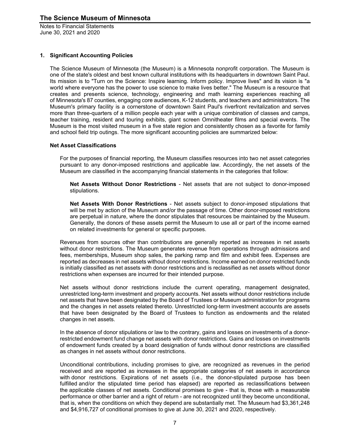#### **1. Significant Accounting Policies**

The Science Museum of Minnesota (the Museum) is a Minnesota nonprofit corporation. The Museum is one of the state's oldest and best known cultural institutions with its headquarters in downtown Saint Paul. Its mission is to "Turn on the Science: Inspire learning. Inform policy. Improve lives" and its vision is "a world where everyone has the power to use science to make lives better." The Museum is a resource that creates and presents science, technology, engineering and math learning experiences reaching all of Minnesota's 87 counties, engaging core audiences, K-12 students, and teachers and administrators. The Museum's primary facility is a cornerstone of downtown Saint Paul's riverfront revitalization and serves more than three-quarters of a million people each year with a unique combination of classes and camps, teacher training, resident and touring exhibits, giant screen Omnitheater films and special events. The Museum is the most visited museum in a five state region and consistently chosen as a favorite for family and school field trip outings. The more significant accounting policies are summarized below:

#### **Net Asset Classifications**

For the purposes of financial reporting, the Museum classifies resources into two net asset categories pursuant to any donor-imposed restrictions and applicable law. Accordingly, the net assets of the Museum are classified in the accompanying financial statements in the categories that follow:

**Net Assets Without Donor Restrictions** - Net assets that are not subject to donor-imposed stipulations.

**Net Assets With Donor Restrictions** - Net assets subject to donor-imposed stipulations that will be met by action of the Museum and/or the passage of time. Other donor-imposed restrictions are perpetual in nature, where the donor stipulates that resources be maintained by the Museum. Generally, the donors of these assets permit the Museum to use all or part of the income earned on related investments for general or specific purposes.

Revenues from sources other than contributions are generally reported as increases in net assets without donor restrictions. The Museum generates revenue from operations through admissions and fees, memberships, Museum shop sales, the parking ramp and film and exhibit fees. Expenses are reported as decreases in net assets without donor restrictions. Income earned on donor restricted funds is initially classified as net assets with donor restrictions and is reclassified as net assets without donor restrictions when expenses are incurred for their intended purpose.

Net assets without donor restrictions include the current operating, management designated, unrestricted long-term investment and property accounts. Net assets without donor restrictions include net assets that have been designated by the Board of Trustees or Museum administration for programs and the changes in net assets related thereto. Unrestricted long-term investment accounts are assets that have been designated by the Board of Trustees to function as endowments and the related changes in net assets.

In the absence of donor stipulations or law to the contrary, gains and losses on investments of a donorrestricted endowment fund change net assets with donor restrictions. Gains and losses on investments of endowment funds created by a board designation of funds without donor restrictions are classified as changes in net assets without donor restrictions.

Unconditional contributions, including promises to give, are recognized as revenues in the period received and are reported as increases in the appropriate categories of net assets in accordance with donor restrictions. Expirations of net assets (i.e., the donor-stipulated purpose has been fulfilled and/or the stipulated time period has elapsed) are reported as reclassifications between the applicable classes of net assets. Conditional promises to give - that is, those with a measurable performance or other barrier and a right of return - are not recognized until they become unconditional, that is, when the conditions on which they depend are substantially met. The Museum had \$3,361,248 and \$4,916,727 of conditional promises to give at June 30, 2021 and 2020, respectively.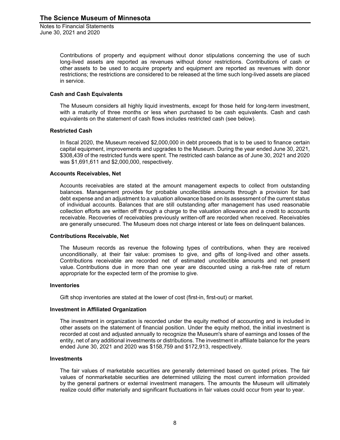> Contributions of property and equipment without donor stipulations concerning the use of such long-lived assets are reported as revenues without donor restrictions. Contributions of cash or other assets to be used to acquire property and equipment are reported as revenues with donor restrictions; the restrictions are considered to be released at the time such long-lived assets are placed in service.

#### **Cash and Cash Equivalents**

The Museum considers all highly liquid investments, except for those held for long-term investment, with a maturity of three months or less when purchased to be cash equivalents. Cash and cash equivalents on the statement of cash flows includes restricted cash (see below).

#### **Restricted Cash**

In fiscal 2020, the Museum received \$2,000,000 in debt proceeds that is to be used to finance certain capital equipment, improvements and upgrades to the Museum. During the year ended June 30, 2021, \$308,439 of the restricted funds were spent. The restricted cash balance as of June 30, 2021 and 2020 was \$1,691,611 and \$2,000,000, respectively.

#### **Accounts Receivables, Net**

Accounts receivables are stated at the amount management expects to collect from outstanding balances. Management provides for probable uncollectible amounts through a provision for bad debt expense and an adjustment to a valuation allowance based on its assessment of the current status of individual accounts. Balances that are still outstanding after management has used reasonable collection efforts are written off through a charge to the valuation allowance and a credit to accounts receivable. Recoveries of receivables previously written-off are recorded when received. Receivables are generally unsecured. The Museum does not charge interest or late fees on delinquent balances.

#### **Contributions Receivable, Net**

The Museum records as revenue the following types of contributions, when they are received unconditionally, at their fair value: promises to give, and gifts of long-lived and other assets. Contributions receivable are recorded net of estimated uncollectible amounts and net present value. Contributions due in more than one year are discounted using a risk-free rate of return appropriate for the expected term of the promise to give.

#### **Inventories**

Gift shop inventories are stated at the lower of cost (first-in, first-out) or market.

#### **Investment in Affiliated Organization**

The investment in organization is recorded under the equity method of accounting and is included in other assets on the statement of financial position. Under the equity method, the initial investment is recorded at cost and adjusted annually to recognize the Museum's share of earnings and losses of the entity, net of any additional investments or distributions. The investment in affiliate balance for the years ended June 30, 2021 and 2020 was \$158,759 and \$172,913, respectively.

#### **Investments**

The fair values of marketable securities are generally determined based on quoted prices. The fair values of nonmarketable securities are determined utilizing the most current information provided by the general partners or external investment managers. The amounts the Museum will ultimately realize could differ materially and significant fluctuations in fair values could occur from year to year.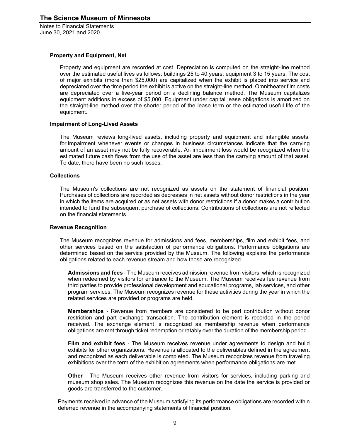#### **Property and Equipment, Net**

Property and equipment are recorded at cost. Depreciation is computed on the straight-line method over the estimated useful lives as follows: buildings 25 to 40 years; equipment 3 to 15 years. The cost of major exhibits (more than \$25,000) are capitalized when the exhibit is placed into service and depreciated over the time period the exhibit is active on the straight-line method. Omnitheater film costs are depreciated over a five-year period on a declining balance method. The Museum capitalizes equipment additions in excess of \$5,000. Equipment under capital lease obligations is amortized on the straight-line method over the shorter period of the lease term or the estimated useful life of the equipment.

#### **Impairment of Long-Lived Assets**

The Museum reviews long-lived assets, including property and equipment and intangible assets, for impairment whenever events or changes in business circumstances indicate that the carrying amount of an asset may not be fully recoverable. An impairment loss would be recognized when the estimated future cash flows from the use of the asset are less than the carrying amount of that asset. To date, there have been no such losses.

#### **Collections**

The Museum's collections are not recognized as assets on the statement of financial position. Purchases of collections are recorded as decreases in net assets without donor restrictions in the year in which the items are acquired or as net assets with donor restrictions if a donor makes a contribution intended to fund the subsequent purchase of collections. Contributions of collections are not reflected on the financial statements.

#### **Revenue Recognition**

The Museum recognizes revenue for admissions and fees, memberships, film and exhibit fees, and other services based on the satisfaction of performance obligations. Performance obligations are determined based on the service provided by the Museum. The following explains the performance obligations related to each revenue stream and how those are recognized.

**Admissions and fees** - The Museum receives admission revenue from visitors, which is recognized when redeemed by visitors for entrance to the Museum. The Museum receives fee revenue from third parties to provide professional development and educational programs, lab services, and other program services. The Museum recognizes revenue for these activities during the year in which the related services are provided or programs are held.

**Memberships** *-* Revenue from members are considered to be part contribution without donor restriction and part exchange transaction. The contribution element is recorded in the period received. The exchange element is recognized as membership revenue when performance obligations are met through ticket redemption or ratably over the duration of the membership period.

**Film and exhibit fees** *-* The Museum receives revenue under agreements to design and build exhibits for other organizations. Revenue is allocated to the deliverables defined in the agreement and recognized as each deliverable is completed. The Museum recognizes revenue from traveling exhibitions over the term of the exhibition agreements when performance obligations are met.

**Other** - The Museum receives other revenue from visitors for services, including parking and museum shop sales. The Museum recognizes this revenue on the date the service is provided or goods are transferred to the customer.

Payments received in advance of the Museum satisfying its performance obligations are recorded within deferred revenue in the accompanying statements of financial position.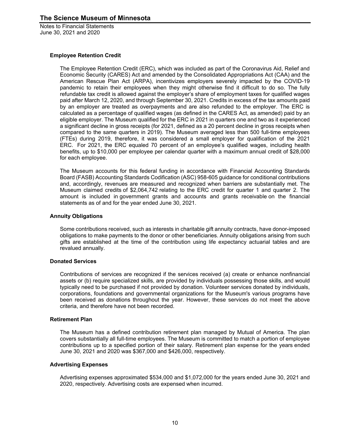#### **Employee Retention Credit**

The Employee Retention Credit (ERC), which was included as part of the Coronavirus Aid, Relief and Economic Security (CARES) Act and amended by the Consolidated Appropriations Act (CAA) and the American Rescue Plan Act (ARPA), incentivizes employers severely impacted by the COVID-19 pandemic to retain their employees when they might otherwise find it difficult to do so. The fully refundable tax credit is allowed against the employer's share of employment taxes for qualified wages paid after March 12, 2020, and through September 30, 2021. Credits in excess of the tax amounts paid by an employer are treated as overpayments and are also refunded to the employer. The ERC is calculated as a percentage of qualified wages (as defined in the CARES Act, as amended) paid by an eligible employer. The Museum qualified for the ERC in 2021 in quarters one and two as it experienced a significant decline in gross receipts (for 2021, defined as a 20 percent decline in gross receipts when compared to the same quarters in 2019). The Museum averaged less than 500 full-time employees (FTEs) during 2019, therefore, it was considered a small employer for qualification of the 2021 ERC. For 2021, the ERC equaled 70 percent of an employee's qualified wages, including health benefits, up to \$10,000 per employee per calendar quarter with a maximum annual credit of \$28,000 for each employee.

The Museum accounts for this federal funding in accordance with Financial Accounting Standards Board (FASB) Accounting Standards Codification (ASC) 958-605 guidance for conditional contributions and, accordingly, revenues are measured and recognized when barriers are substantially met. The Museum claimed credits of \$2,064,742 relating to the ERC credit for quarter 1 and quarter 2. The amount is included in government grants and accounts and grants receivable on the financial statements as of and for the year ended June 30, 2021.

#### **Annuity Obligations**

Some contributions received, such as interests in charitable gift annuity contracts, have donor-imposed obligations to make payments to the donor or other beneficiaries. Annuity obligations arising from such gifts are established at the time of the contribution using life expectancy actuarial tables and are revalued annually.

#### **Donated Services**

Contributions of services are recognized if the services received (a) create or enhance nonfinancial assets or (b) require specialized skills, are provided by individuals possessing those skills, and would typically need to be purchased if not provided by donation. Volunteer services donated by individuals, corporations, foundations and governmental organizations for the Museum's various programs have been received as donations throughout the year. However, these services do not meet the above criteria, and therefore have not been recorded.

#### **Retirement Plan**

The Museum has a defined contribution retirement plan managed by Mutual of America. The plan covers substantially all full-time employees. The Museum is committed to match a portion of employee contributions up to a specified portion of their salary. Retirement plan expense for the years ended June 30, 2021 and 2020 was \$367,000 and \$426,000, respectively.

#### **Advertising Expenses**

Advertising expenses approximated \$534,000 and \$1,072,000 for the years ended June 30, 2021 and 2020, respectively. Advertising costs are expensed when incurred.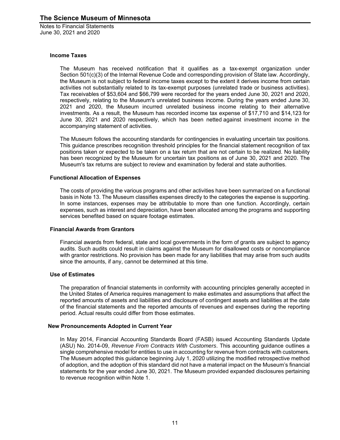#### **Income Taxes**

The Museum has received notification that it qualifies as a tax-exempt organization under Section 501(c)(3) of the Internal Revenue Code and corresponding provision of State law. Accordingly, the Museum is not subject to federal income taxes except to the extent it derives income from certain activities not substantially related to its tax-exempt purposes (unrelated trade or business activities). Tax receivables of \$53,604 and \$66,799 were recorded for the years ended June 30, 2021 and 2020, respectively, relating to the Museum's unrelated business income. During the years ended June 30, 2021 and 2020, the Museum incurred unrelated business income relating to their alternative investments. As a result, the Museum has recorded income tax expense of \$17,710 and \$14,123 for June 30, 2021 and 2020 respectively, which has been netted against investment income in the accompanying statement of activities.

The Museum follows the accounting standards for contingencies in evaluating uncertain tax positions. This guidance prescribes recognition threshold principles for the financial statement recognition of tax positions taken or expected to be taken on a tax return that are not certain to be realized. No liability has been recognized by the Museum for uncertain tax positions as of June 30, 2021 and 2020. The Museum's tax returns are subject to review and examination by federal and state authorities.

#### **Functional Allocation of Expenses**

The costs of providing the various programs and other activities have been summarized on a functional basis in Note 13. The Museum classifies expenses directly to the categories the expense is supporting. In some instances, expenses may be attributable to more than one function. Accordingly, certain expenses, such as interest and depreciation, have been allocated among the programs and supporting services benefited based on square footage estimates.

#### **Financial Awards from Grantors**

Financial awards from federal, state and local governments in the form of grants are subject to agency audits. Such audits could result in claims against the Museum for disallowed costs or noncompliance with grantor restrictions. No provision has been made for any liabilities that may arise from such audits since the amounts, if any, cannot be determined at this time.

#### **Use of Estimates**

The preparation of financial statements in conformity with accounting principles generally accepted in the United States of America requires management to make estimates and assumptions that affect the reported amounts of assets and liabilities and disclosure of contingent assets and liabilities at the date of the financial statements and the reported amounts of revenues and expenses during the reporting period. Actual results could differ from those estimates.

#### **New Pronouncements Adopted in Current Year**

In May 2014, Financial Accounting Standards Board (FASB) issued Accounting Standards Update (ASU) No. 2014-09, *Revenue From Contracts With Customers*. This accounting guidance outlines a single comprehensive model for entities to use in accounting for revenue from contracts with customers. The Museum adopted this guidance beginning July 1, 2020 utilizing the modified retrospective method of adoption, and the adoption of this standard did not have a material impact on the Museum's financial statements for the year ended June 30, 2021. The Museum provided expanded disclosures pertaining to revenue recognition within Note 1.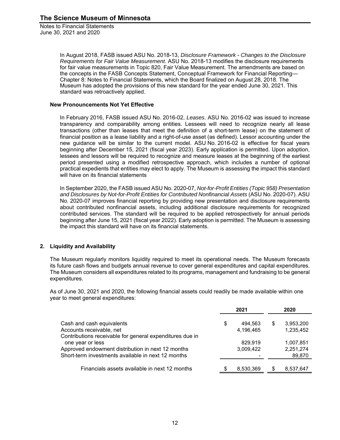> In August 2018, FASB issued ASU No. 2018-13, *Disclosure Framework* - *Changes to the Disclosure Requirements for Fair Value Measurement*. ASU No. 2018-13 modifies the disclosure requirements for fair value measurements in Topic 820, Fair Value Measurement. The amendments are based on the concepts in the FASB Concepts Statement, Conceptual Framework for Financial Reporting— Chapter 8: Notes to Financial Statements, which the Board finalized on August 28, 2018. The Museum has adopted the provisions of this new standard for the year ended June 30, 2021. This standard was retroactively applied.

#### **New Pronouncements Not Yet Effective**

In February 2016, FASB issued ASU No. 2016-02, *Leases*. ASU No. 2016-02 was issued to increase transparency and comparability among entities. Lessees will need to recognize nearly all lease transactions (other than leases that meet the definition of a short-term lease) on the statement of financial position as a lease liability and a right-of-use asset (as defined). Lessor accounting under the new guidance will be similar to the current model. ASU No. 2016-02 is effective for fiscal years beginning after December 15, 2021 (fiscal year 2023). Early application is permitted. Upon adoption, lessees and lessors will be required to recognize and measure leases at the beginning of the earliest period presented using a modified retrospective approach, which includes a number of optional practical expedients that entities may elect to apply. The Museum is assessing the impact this standard will have on its financial statements

In September 2020, the FASB issued ASU No. 2020-07, *Not-for-Profit Entities (Topic 958) Presentation and Disclosures by Not-for-Profit Entities for Contributed Nonfinancial Assets* (ASU No. 2020-07). ASU No. 2020-07 improves financial reporting by providing new presentation and disclosure requirements about contributed nonfinancial assets, including additional disclosure requirements for recognized contributed services. The standard will be required to be applied retrospectively for annual periods beginning after June 15, 2021 (fiscal year 2022). Early adoption is permitted. The Museum is assessing the impact this standard will have on its financial statements.

#### **2. Liquidity and Availability**

The Museum regularly monitors liquidity required to meet its operational needs. The Museum forecasts its future cash flows and budgets annual revenue to cover general expenditures and capital expenditures. The Museum considers all expenditures related to its programs, management and fundraising to be general expenditures.

As of June 30, 2021 and 2020, the following financial assets could readily be made available within one year to meet general expenditures:

|                                                          |   | 2021      |     | 2020      |
|----------------------------------------------------------|---|-----------|-----|-----------|
| Cash and cash equivalents                                | S | 494.563   | \$  | 3,953,200 |
| Accounts receivable, net                                 |   | 4,196,465 |     | 1,235,452 |
| Contributions receivable for general expenditures due in |   |           |     |           |
| one year or less                                         |   | 829.919   |     | 1,007,851 |
| Approved endowment distribution in next 12 months        |   | 3,009,422 |     | 2,251,274 |
| Short-term investments available in next 12 months       |   |           |     | 89,870    |
|                                                          |   |           |     |           |
| Financials assets available in next 12 months            |   | 8,530,369 | \$. | 8,537,647 |
|                                                          |   |           |     |           |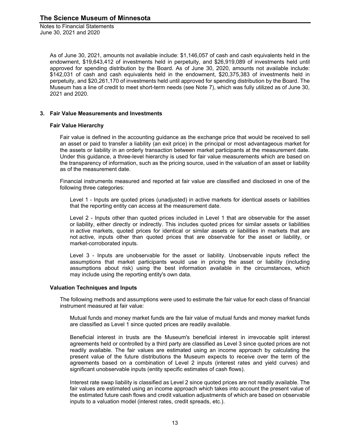Notes to Financial Statements June 30, 2021 and 2020

> As of June 30, 2021, amounts not available include: \$1,146,057 of cash and cash equivalents held in the endowment, \$19,643,412 of investments held in perpetuity, and \$26,919,089 of investments held until approved for spending distribution by the Board. As of June 30, 2020, amounts not available include: \$142,031 of cash and cash equivalents held in the endowment, \$20,375,383 of investments held in perpetuity, and \$20,261,170 of investments held until approved for spending distribution by the Board. The Museum has a line of credit to meet short-term needs (see Note 7), which was fully utilized as of June 30, 2021 and 2020.

#### **3. Fair Value Measurements and Investments**

#### **Fair Value Hierarchy**

Fair value is defined in the accounting guidance as the exchange price that would be received to sell an asset or paid to transfer a liability (an exit price) in the principal or most advantageous market for the assets or liability in an orderly transaction between market participants at the measurement date. Under this guidance, a three-level hierarchy is used for fair value measurements which are based on the transparency of information, such as the pricing source, used in the valuation of an asset or liability as of the measurement date.

Financial instruments measured and reported at fair value are classified and disclosed in one of the following three categories:

Level 1 - Inputs are quoted prices (unadjusted) in active markets for identical assets or liabilities that the reporting entity can access at the measurement date.

Level 2 - Inputs other than quoted prices included in Level 1 that are observable for the asset or liability, either directly or indirectly. This includes quoted prices for similar assets or liabilities in active markets, quoted prices for identical or similar assets or liabilities in markets that are not active, inputs other than quoted prices that are observable for the asset or liability, or market-corroborated inputs.

Level 3 - Inputs are unobservable for the asset or liability. Unobservable inputs reflect the assumptions that market participants would use in pricing the asset or liability (including assumptions about risk) using the best information available in the circumstances, which may include using the reporting entity's own data.

#### **Valuation Techniques and Inputs**

The following methods and assumptions were used to estimate the fair value for each class of financial instrument measured at fair value:

Mutual funds and money market funds are the fair value of mutual funds and money market funds are classified as Level 1 since quoted prices are readily available.

Beneficial interest in trusts are the Museum's beneficial interest in irrevocable split interest agreements held or controlled by a third party are classified as Level 3 since quoted prices are not readily available. The fair values are estimated using an income approach by calculating the present value of the future distributions the Museum expects to receive over the term of the agreements based on a combination of Level 2 inputs (interest rates and yield curves) and significant unobservable inputs (entity specific estimates of cash flows).

Interest rate swap liability is classified as Level 2 since quoted prices are not readily available. The fair values are estimated using an income approach which takes into account the present value of the estimated future cash flows and credit valuation adjustments of which are based on observable inputs to a valuation model (interest rates, credit spreads, etc.).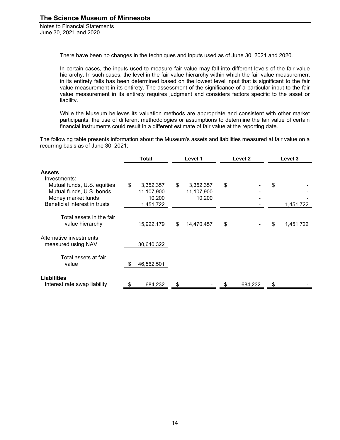There have been no changes in the techniques and inputs used as of June 30, 2021 and 2020.

In certain cases, the inputs used to measure fair value may fall into different levels of the fair value hierarchy. In such cases, the level in the fair value hierarchy within which the fair value measurement in its entirety falls has been determined based on the lowest level input that is significant to the fair value measurement in its entirety. The assessment of the significance of a particular input to the fair value measurement in its entirety requires judgment and considers factors specific to the asset or liability.

While the Museum believes its valuation methods are appropriate and consistent with other market participants, the use of different methodologies or assumptions to determine the fair value of certain financial instruments could result in a different estimate of fair value at the reporting date.

The following table presents information about the Museum's assets and liabilities measured at fair value on a recurring basis as of June 30, 2021:

|                                                                                                                | <b>Total</b> |                                                | Level 1 |                                   | Level <sub>2</sub> |         | Level 3         |
|----------------------------------------------------------------------------------------------------------------|--------------|------------------------------------------------|---------|-----------------------------------|--------------------|---------|-----------------|
| <b>Assets</b><br>Investments:                                                                                  |              |                                                |         |                                   |                    |         |                 |
| Mutual funds, U.S. equities<br>Mutual funds, U.S. bonds<br>Money market funds<br>Beneficial interest in trusts | \$           | 3,352,357<br>11,107,900<br>10,200<br>1,451,722 | \$      | 3,352,357<br>11,107,900<br>10,200 | \$                 |         | \$<br>1,451,722 |
| Total assets in the fair<br>value hierarchy                                                                    |              | 15,922,179                                     | S       | 14,470,457                        | \$                 |         | \$<br>1,451,722 |
| Alternative investments<br>measured using NAV                                                                  |              | 30,640,322                                     |         |                                   |                    |         |                 |
| Total assets at fair<br>value                                                                                  |              | 46,562,501                                     |         |                                   |                    |         |                 |
| <b>Liabilities</b><br>Interest rate swap liability                                                             | \$           | 684,232                                        | \$      |                                   | S                  | 684,232 | \$              |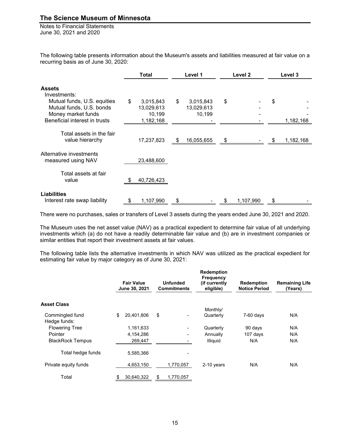Notes to Financial Statements June 30, 2021 and 2020

The following table presents information about the Museum's assets and liabilities measured at fair value on a recurring basis as of June 30, 2020:

|                                                                                                                                                 | Total                                                |    | Level 1                           |    | Level <sub>2</sub> | Level 3         |
|-------------------------------------------------------------------------------------------------------------------------------------------------|------------------------------------------------------|----|-----------------------------------|----|--------------------|-----------------|
| <b>Assets</b><br>Investments:<br>Mutual funds, U.S. equities<br>Mutual funds, U.S. bonds<br>Money market funds<br>Beneficial interest in trusts | \$<br>3,015,843<br>13,029,613<br>10,199<br>1,182,168 | \$ | 3,015,843<br>13,029,613<br>10,199 | \$ |                    | \$<br>1,182,168 |
| Total assets in the fair<br>value hierarchy                                                                                                     | 17,237,823                                           | S  | 16,055,655                        |    |                    | 1,182,168       |
| Alternative investments<br>measured using NAV                                                                                                   | 23,488,600                                           |    |                                   |    |                    |                 |
| Total assets at fair<br>value                                                                                                                   | 40,726,423                                           |    |                                   |    |                    |                 |
| <b>Liabilities</b><br>Interest rate swap liability                                                                                              | \$<br>1,107,990                                      | \$ |                                   | S  | 1,107,990          | \$              |

There were no purchases, sales or transfers of Level 3 assets during the years ended June 30, 2021 and 2020.

The Museum uses the net asset value (NAV) as a practical expedient to determine fair value of all underlying investments which (a) do not have a readily determinable fair value and (b) are in investment companies or similar entities that report their investment assets at fair values.

The following table lists the alternative investments in which NAV was utilized as the practical expedient for estimating fair value by major category as of June 30, 2021:

| <b>Fair Value</b> |                                          |                          | <b>Redemption</b><br><b>Frequency</b><br>(if currently<br>eligible) | <b>Redemption</b><br><b>Notice Period</b> | <b>Remaining Life</b><br>(Years) |
|-------------------|------------------------------------------|--------------------------|---------------------------------------------------------------------|-------------------------------------------|----------------------------------|
|                   |                                          |                          |                                                                     |                                           |                                  |
|                   |                                          |                          | Monthly/                                                            |                                           |                                  |
| \$<br>20,401,806  | \$                                       | $\overline{\phantom{a}}$ | Quarterly                                                           | $7-60$ days                               | N/A                              |
|                   |                                          |                          |                                                                     |                                           |                                  |
| 1,161,633         |                                          | $\overline{\phantom{a}}$ | Quarterly                                                           | 90 days                                   | N/A                              |
| 4,154,286         |                                          | $\overline{\phantom{a}}$ | Annually                                                            | 107 days                                  | N/A                              |
| 269,447           |                                          | -                        | Illiquid                                                            | N/A                                       | N/A                              |
|                   |                                          |                          |                                                                     |                                           |                                  |
| 5,585,366         |                                          | ٠                        |                                                                     |                                           |                                  |
|                   |                                          |                          |                                                                     |                                           | N/A                              |
|                   |                                          |                          |                                                                     |                                           |                                  |
|                   |                                          |                          |                                                                     |                                           |                                  |
| \$                | June 30, 2021<br>4,653,150<br>30,640,322 | \$                       | <b>Unfunded</b><br><b>Commitments</b><br>1,770,057<br>1,770,057     | 2-10 years                                | N/A                              |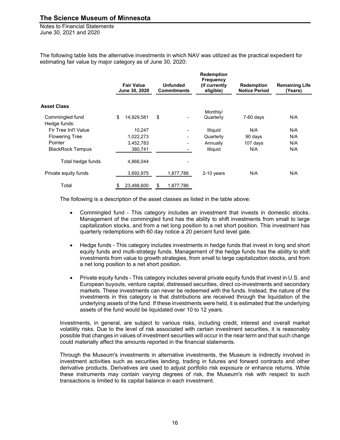Notes to Financial Statements June 30, 2021 and 2020

The following table lists the alternative investments in which NAV was utilized as the practical expedient for estimating fair value by major category as of June 30, 2020:

|                         | <b>Fair Value</b><br>June 30, 2020 | <b>Unfunded</b><br><b>Commitments</b> | <b>Redemption</b><br><b>Frequency</b><br>(if currently<br>eligible) | <b>Redemption</b><br><b>Notice Period</b> | <b>Remaining Life</b><br>(Years) |
|-------------------------|------------------------------------|---------------------------------------|---------------------------------------------------------------------|-------------------------------------------|----------------------------------|
| Asset Class             |                                    |                                       |                                                                     |                                           |                                  |
|                         |                                    |                                       | Monthly/                                                            |                                           |                                  |
| Commingled fund         | \$<br>14,929,581                   | \$<br>۰                               | Quarterly                                                           | $7-60$ days                               | N/A                              |
| Hedge funds:            |                                    |                                       |                                                                     |                                           |                                  |
| Fir Tree Int'l Value    | 10,247                             | ۰                                     | <b>Illiquid</b>                                                     | N/A                                       | N/A                              |
| <b>Flowering Tree</b>   | 1,022,273                          | ۰                                     | Quarterly                                                           | 90 days                                   | N/A                              |
| Pointer                 | 3,452,783                          | ۰                                     | Annually                                                            | 107 days                                  | N/A                              |
| <b>BlackRock Tempus</b> | 380,741                            |                                       | Illiquid                                                            | N/A                                       | N/A                              |
| Total hedge funds       | 4,866,044                          |                                       |                                                                     |                                           |                                  |
| Private equity funds    | 3,692,975                          | 1,877,786                             | 2-10 years                                                          | N/A                                       | N/A                              |
| Total                   | \$<br>23,488,600                   | \$<br>1,877,786                       |                                                                     |                                           |                                  |

The following is a description of the asset classes as listed in the table above:

- Commingled fund This category includes an investment that invests in domestic stocks. Management of the commingled fund has the ability to shift investments from small to large capitalization stocks, and from a net long position to a net short position. This investment has quarterly redemptions with 60 day notice a 20 percent fund level gate.
- Hedge funds This category includes investments in hedge funds that invest in long and short equity funds and multi-strategy funds. Management of the hedge funds has the ability to shift investments from value to growth strategies, from small to large capitalization stocks, and from a net long position to a net short position.
- Private equity funds This category includes several private equity funds that invest in U.S. and European buyouts, venture capital, distressed securities, direct co-investments and secondary markets. These investments can never be redeemed with the funds. Instead, the nature of the investments in this category is that distributions are received through the liquidation of the underlying assets of the fund. If these investments were held, it is estimated that the underlying assets of the fund would be liquidated over 10 to 12 years.

Investments, in general, are subject to various risks, including credit, interest and overall market volatility risks. Due to the level of risk associated with certain investment securities, it is reasonably possible that changes in values of investment securities will occur in the near term and that such change could materially affect the amounts reported in the financial statements.

Through the Museum's investments in alternative investments, the Museum is indirectly involved in investment activities such as securities lending, trading in futures and forward contracts and other derivative products. Derivatives are used to adjust portfolio risk exposure or enhance returns. While these instruments may contain varying degrees of risk, the Museum's risk with respect to such transactions is limited to its capital balance in each investment.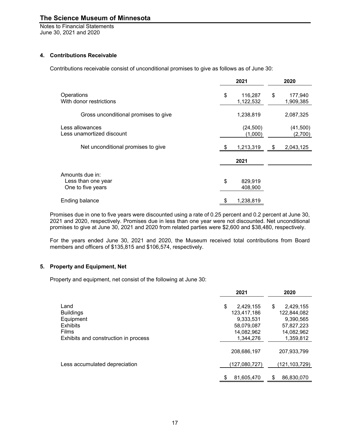Notes to Financial Statements June 30, 2021 and 2020

#### **4. Contributions Receivable**

Contributions receivable consist of unconditional promises to give as follows as of June 30:

|                                       | 2021            |    | 2020      |
|---------------------------------------|-----------------|----|-----------|
| Operations<br>With donor restrictions | \$<br>116,287   | \$ | 177,940   |
|                                       | 1,122,532       |    | 1,909,385 |
| Gross unconditional promises to give  | 1,238,819       |    | 2,087,325 |
| Less allowances                       | (24, 500)       |    | (41,500)  |
| Less unamortized discount             | (1,000)         |    | (2,700)   |
| Net unconditional promises to give    | 1,213,319       | S. | 2,043,125 |
|                                       | 2021            |    |           |
| Amounts due in:                       |                 |    |           |
| Less than one year                    | \$<br>829,919   |    |           |
| One to five years                     | 408,900         |    |           |
| <b>Ending balance</b>                 | \$<br>1,238,819 |    |           |

Promises due in one to five years were discounted using a rate of 0.25 percent and 0.2 percent at June 30, 2021 and 2020, respectively. Promises due in less than one year were not discounted. Net unconditional promises to give at June 30, 2021 and 2020 from related parties were \$2,600 and \$38,480, respectively.

For the years ended June 30, 2021 and 2020, the Museum received total contributions from Board members and officers of \$135,815 and \$106,574, respectively.

#### **5. Property and Equipment, Net**

Property and equipment, net consist of the following at June 30:

|                                      | 2021            | 2020             |
|--------------------------------------|-----------------|------------------|
| Land                                 | \$<br>2,429,155 | \$<br>2,429,155  |
| <b>Buildings</b>                     | 123.417.186     | 122,844,082      |
| Equipment                            | 9,333,531       | 9,390,565        |
| <b>Exhibits</b>                      | 58,079,087      | 57,827,223       |
| <b>Films</b>                         | 14,082,962      | 14,082,962       |
| Exhibits and construction in process | 1.344.276       | 1,359,812        |
|                                      | 208,686,197     | 207,933,799      |
| Less accumulated depreciation        | (127,080,727)   | (121,103,729)    |
|                                      | 81,605,470      | \$<br>86,830,070 |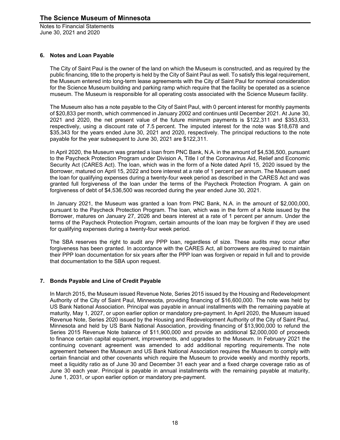#### **6. Notes and Loan Payable**

The City of Saint Paul is the owner of the land on which the Museum is constructed, and as required by the public financing, title to the property is held by the City of Saint Paul as well. To satisfy this legal requirement, the Museum entered into long-term lease agreements with the City of Saint Paul for nominal consideration for the Science Museum building and parking ramp which require that the facility be operated as a science museum. The Museum is responsible for all operating costs associated with the Science Museum facility.

The Museum also has a note payable to the City of Saint Paul, with 0 percent interest for monthly payments of \$20,833 per month, which commenced in January 2002 and continues until December 2021. At June 30, 2021 and 2020, the net present value of the future minimum payments is \$122,311 and \$353,633, respectively, using a discount rate of 7.5 percent. The imputed interest for the note was \$18,678 and \$35,343 for the years ended June 30, 2021 and 2020, respectively. The principal reductions to the note payable for the year subsequent to June 30, 2021 are \$122,311.

In April 2020, the Museum was granted a loan from PNC Bank, N.A. in the amount of \$4,536,500, pursuant to the Paycheck Protection Program under Division A, Title I of the Coronavirus Aid, Relief and Economic Security Act (CARES Act). The loan, which was in the form of a Note dated April 15, 2020 issued by the Borrower, matured on April 15, 2022 and bore interest at a rate of 1 percent per annum. The Museum used the loan for qualifying expenses during a twenty-four week period as described in the CARES Act and was granted full forgiveness of the loan under the terms of the Paycheck Protection Program. A gain on forgiveness of debt of \$4,536,500 was recorded during the year ended June 30, 2021.

In January 2021, the Museum was granted a loan from PNC Bank, N.A. in the amount of \$2,000,000, pursuant to the Paycheck Protection Program. The loan, which was in the form of a Note issued by the Borrower, matures on January 27, 2026 and bears interest at a rate of 1 percent per annum. Under the terms of the Paycheck Protection Program, certain amounts of the loan may be forgiven if they are used for qualifying expenses during a twenty-four week period.

The SBA reserves the right to audit any PPP loan, regardless of size. These audits may occur after forgiveness has been granted. In accordance with the CARES Act, all borrowers are required to maintain their PPP loan documentation for six years after the PPP loan was forgiven or repaid in full and to provide that documentation to the SBA upon request.

#### **7. Bonds Payable and Line of Credit Payable**

In March 2015, the Museum issued Revenue Note, Series 2015 issued by the Housing and Redevelopment Authority of the City of Saint Paul, Minnesota, providing financing of \$16,600,000. The note was held by US Bank National Association. Principal was payable in annual installments with the remaining payable at maturity, May 1, 2027, or upon earlier option or mandatory pre-payment. In April 2020, the Museum issued Revenue Note, Series 2020 issued by the Housing and Redevelopment Authority of the City of Saint Paul, Minnesota and held by US Bank National Association, providing financing of \$13,900,000 to refund the Series 2015 Revenue Note balance of \$11,900,000 and provide an additional \$2,000,000 of proceeds to finance certain capital equipment, improvements, and upgrades to the Museum. In February 2021 the continuing covenant agreement was amended to add additional reporting requirements. The note agreement between the Museum and US Bank National Association requires the Museum to comply with certain financial and other covenants which require the Museum to provide weekly and monthly reports, meet a liquidity ratio as of June 30 and December 31 each year and a fixed charge coverage ratio as of June 30 each year. Principal is payable in annual installments with the remaining payable at maturity, June 1, 2031, or upon earlier option or mandatory pre-payment.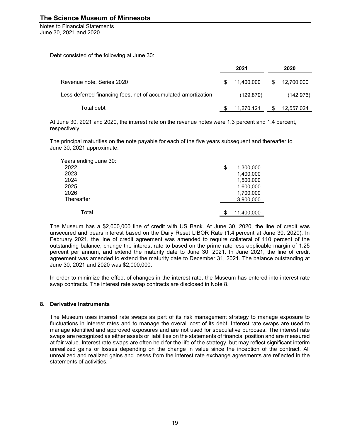Notes to Financial Statements June 30, 2021 and 2020

Debt consisted of the following at June 30:

|                                                               | 2021             |    | 2020       |
|---------------------------------------------------------------|------------------|----|------------|
| Revenue note, Series 2020                                     | \$<br>11.400.000 | S. | 12,700,000 |
| Less deferred financing fees, net of accumulated amortization | (129, 879)       |    | (142,976)  |
| Total debt                                                    | 11,270,121       | \$ | 12,557,024 |

At June 30, 2021 and 2020, the interest rate on the revenue notes were 1.3 percent and 1.4 percent, respectively.

The principal maturities on the note payable for each of the five years subsequent and thereafter to June 30, 2021 approximate:

| Years ending June 30: |                  |
|-----------------------|------------------|
| 2022                  | \$<br>1,300,000  |
| 2023                  | 1,400,000        |
| 2024                  | 1,500,000        |
| 2025                  | 1,600,000        |
| 2026                  | 1,700,000        |
| Thereafter            | 3,900,000        |
|                       |                  |
| Total                 | \$<br>11,400,000 |

The Museum has a \$2,000,000 line of credit with US Bank. At June 30, 2020, the line of credit was unsecured and bears interest based on the Daily Reset LIBOR Rate (1.4 percent at June 30, 2020). In February 2021, the line of credit agreement was amended to require collateral of 110 percent of the outstanding balance, change the interest rate to based on the prime rate less applicable margin of 1.25 percent per annum, and extend the maturity date to June 30, 2021. In June 2021, the line of credit agreement was amended to extend the maturity date to December 31, 2021. The balance outstanding at June 30, 2021 and 2020 was \$2,000,000.

In order to minimize the effect of changes in the interest rate, the Museum has entered into interest rate swap contracts. The interest rate swap contracts are disclosed in Note 8.

#### **8. Derivative Instruments**

The Museum uses interest rate swaps as part of its risk management strategy to manage exposure to fluctuations in interest rates and to manage the overall cost of its debt. Interest rate swaps are used to manage identified and approved exposures and are not used for speculative purposes. The interest rate swaps are recognized as either assets or liabilities on the statements of financial position and are measured at fair value. Interest rate swaps are often held for the life of the strategy, but may reflect significant interim unrealized gains or losses depending on the change in value since the inception of the contract. All unrealized and realized gains and losses from the interest rate exchange agreements are reflected in the statements of activities.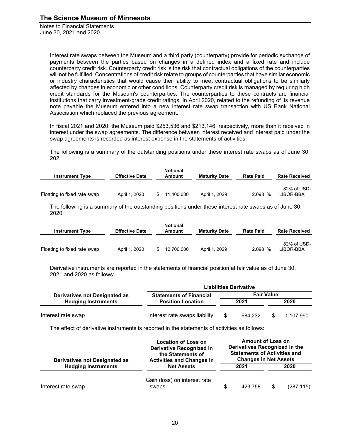> Interest rate swaps between the Museum and a third party (counterparty) provide for periodic exchange of payments between the parties based on changes in a defined index and a fixed rate and include counterparty credit risk. Counterparty credit risk is the risk that contractual obligations of the counterparties will not be fulfilled. Concentrations of credit risk relate to groups of counterparties that have similar economic or industry characteristics that would cause their ability to meet contractual obligations to be similarly affected by changes in economic or other conditions. Counterparty credit risk is managed by requiring high credit standards for the Museum's counterparties. The counterparties to these contracts are financial institutions that carry investment-grade credit ratings. In April 2020, related to the refunding of its revenue note payable the Museum entered into a new interest rate swap transaction with US Bank National Association which replaced the previous agreement.

> In fiscal 2021 and 2020, the Museum paid \$253,536 and \$213,146, respectively, more than it received in interest under the swap agreements. The difference between interest received and interest paid under the swap agreements is recorded as interest expense in the statements of activities.

> The following is a summary of the outstanding positions under these interest rate swaps as of June 30, 2021:

| <b>Instrument Type</b>      | <b>Effective Date</b> | <b>Notional</b><br>Amount | <b>Maturity Date</b> | <b>Rate Paid</b> | <b>Rate Received</b>     |
|-----------------------------|-----------------------|---------------------------|----------------------|------------------|--------------------------|
| Floating to fixed rate swap | April 1, 2020         | \$<br>11.400.000          | April 1, 2029        | 2.098 %          | 82% of USD-<br>LIBOR-BBA |

The following is a summary of the outstanding positions under these interest rate swaps as of June 30, 2020:

| <b>Instrument Type</b>      | <b>Effective Date</b> | <b>Notional</b><br>Amount | <b>Maturity Date</b> | <b>Rate Paid</b> | <b>Rate Received</b>     |
|-----------------------------|-----------------------|---------------------------|----------------------|------------------|--------------------------|
| Floating to fixed rate swap | April 1, 2020         | 12.700.000                | April 1, 2029        | 2.098%           | 82% of USD-<br>LIBOR-BBA |

Derivative instruments are reported in the statements of financial position at fair value as of June 30, 2021 and 2020 as follows:

|                                      | <b>Liabilities Derivative</b>  |  |                   |      |           |  |  |  |
|--------------------------------------|--------------------------------|--|-------------------|------|-----------|--|--|--|
| <b>Derivatives not Designated as</b> | <b>Statements of Financial</b> |  | <b>Fair Value</b> |      |           |  |  |  |
| <b>Hedging Instruments</b>           | <b>Position Location</b>       |  | 2021              | 2020 |           |  |  |  |
| Interest rate swap                   | Interest rate swaps liability  |  | 684.232           | \$   | 1.107.990 |  |  |  |

The effect of derivative instruments is reported in the statements of activities as follows:

| <b>Derivatives not Designated as</b> | <b>Location of Loss on</b><br><b>Derivative Recognized in</b><br>the Statements of<br><b>Activities and Changes in</b> | <b>Amount of Loss on</b><br>Derivatives Recognized in the<br><b>Statements of Activities and</b><br><b>Changes in Net Assets</b> |         |    |            |  |  |
|--------------------------------------|------------------------------------------------------------------------------------------------------------------------|----------------------------------------------------------------------------------------------------------------------------------|---------|----|------------|--|--|
| <b>Hedging Instruments</b>           | <b>Net Assets</b>                                                                                                      |                                                                                                                                  | 2021    |    | 2020       |  |  |
| Interest rate swap                   | Gain (loss) on interest rate<br>swaps                                                                                  |                                                                                                                                  | 423.758 | \$ | (287, 115) |  |  |
|                                      |                                                                                                                        |                                                                                                                                  |         |    |            |  |  |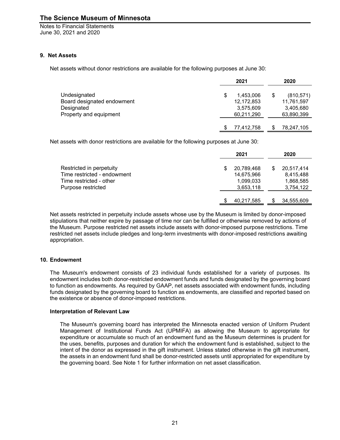Notes to Financial Statements June 30, 2021 and 2020

#### **9. Net Assets**

Net assets without donor restrictions are available for the following purposes at June 30:

|                            |   | 2021       | 2020             |
|----------------------------|---|------------|------------------|
| Undesignated               | S | 1.453.006  | \$<br>(810, 571) |
| Board designated endowment |   | 12,172,853 | 11,761,597       |
| Designated                 |   | 3,575,609  | 3,405,680        |
| Property and equipment     |   | 60,211,290 | 63,890,399       |
|                            |   | 77,412,758 | 78,247,105       |

Net assets with donor restrictions are available for the following purposes at June 30:

|                             | 2021       |     | 2020       |
|-----------------------------|------------|-----|------------|
| Restricted in perpetuity    | 20,789,468 | \$. | 20,517,414 |
| Time restricted - endowment | 14,675,966 |     | 8,415,488  |
| Time restricted - other     | 1,099,033  |     | 1,868,585  |
| Purpose restricted          | 3,653,118  |     | 3,754,122  |
|                             | 40,217,585 |     | 34,555,609 |

Net assets restricted in perpetuity include assets whose use by the Museum is limited by donor-imposed stipulations that neither expire by passage of time nor can be fulfilled or otherwise removed by actions of the Museum. Purpose restricted net assets include assets with donor-imposed purpose restrictions. Time restricted net assets include pledges and long-term investments with donor-imposed restrictions awaiting appropriation.

#### **10. Endowment**

The Museum's endowment consists of 23 individual funds established for a variety of purposes. Its endowment includes both donor-restricted endowment funds and funds designated by the governing board to function as endowments. As required by GAAP, net assets associated with endowment funds, including funds designated by the governing board to function as endowments, are classified and reported based on the existence or absence of donor-imposed restrictions.

#### **Interpretation of Relevant Law**

The Museum's governing board has interpreted the Minnesota enacted version of Uniform Prudent Management of Institutional Funds Act (UPMIFA) as allowing the Museum to appropriate for expenditure or accumulate so much of an endowment fund as the Museum determines is prudent for the uses, benefits, purposes and duration for which the endowment fund is established, subject to the intent of the donor as expressed in the gift instrument. Unless stated otherwise in the gift instrument, the assets in an endowment fund shall be donor-restricted assets until appropriated for expenditure by the governing board. See Note 1 for further information on net asset classification.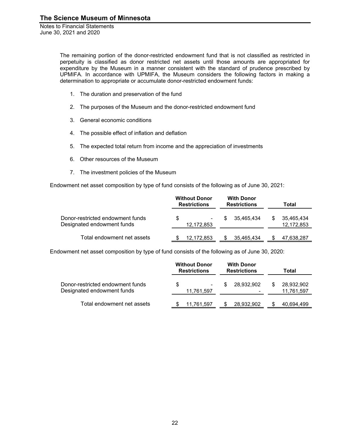> The remaining portion of the donor-restricted endowment fund that is not classified as restricted in perpetuity is classified as donor restricted net assets until those amounts are appropriated for expenditure by the Museum in a manner consistent with the standard of prudence prescribed by UPMIFA. In accordance with UPMIFA, the Museum considers the following factors in making a determination to appropriate or accumulate donor-restricted endowment funds:

- 1. The duration and preservation of the fund
- 2. The purposes of the Museum and the donor-restricted endowment fund
- 3. General economic conditions
- 4. The possible effect of inflation and deflation
- 5. The expected total return from income and the appreciation of investments
- 6. Other resources of the Museum
- 7. The investment policies of the Museum

Endowment net asset composition by type of fund consists of the following as of June 30, 2021:

|                                                                |   | <b>Without Donor</b><br><b>Restrictions</b> |    | <b>With Donor</b><br><b>Restrictions</b> | Total |                          |  |
|----------------------------------------------------------------|---|---------------------------------------------|----|------------------------------------------|-------|--------------------------|--|
| Donor-restricted endowment funds<br>Designated endowment funds | S | ۰<br>12,172,853                             | S. | 35.465.434                               |       | 35,465,434<br>12,172,853 |  |
| Total endowment net assets                                     |   | 12.172.853                                  |    | 35,465,434                               |       | 47,638,287               |  |

Endowment net asset composition by type of fund consists of the following as of June 30, 2020:

|                                                                |   | <b>Without Donor</b><br><b>Restrictions</b> |  | <b>With Donor</b><br><b>Restrictions</b> | Total |                          |  |
|----------------------------------------------------------------|---|---------------------------------------------|--|------------------------------------------|-------|--------------------------|--|
| Donor-restricted endowment funds<br>Designated endowment funds | S | 11,761,597                                  |  | 28.932.902<br>-                          |       | 28,932,902<br>11,761,597 |  |
| Total endowment net assets                                     |   | 11,761,597                                  |  | 28,932,902                               |       | 40.694.499               |  |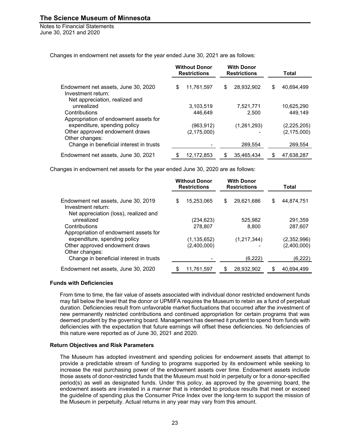Notes to Financial Statements June 30, 2021 and 2020

Changes in endowment net assets for the year ended June 30, 2021 are as follows:

|                                                                                             |    | <b>Without Donor</b><br><b>Restrictions</b> |   | <b>With Donor</b><br><b>Restrictions</b> | Total |               |  |
|---------------------------------------------------------------------------------------------|----|---------------------------------------------|---|------------------------------------------|-------|---------------|--|
| Endowment net assets, June 30, 2020<br>Investment return:<br>Net appreciation, realized and | \$ | 11,761,597                                  | S | 28.932.902                               | \$    | 40.694.499    |  |
| unrealized                                                                                  |    | 3,103,519                                   |   | 7,521,771                                |       | 10,625,290    |  |
| Contributions                                                                               |    | 446.649                                     |   | 2,500                                    |       | 449.149       |  |
| Appropriation of endowment assets for                                                       |    |                                             |   |                                          |       |               |  |
| expenditure, spending policy                                                                |    | (963, 912)                                  |   | (1,261,293)                              |       | (2,225,205)   |  |
| Other approved endowment draws                                                              |    | (2, 175, 000)                               |   |                                          |       | (2, 175, 000) |  |
| Other changes:                                                                              |    |                                             |   |                                          |       |               |  |
| Change in beneficial interest in trusts                                                     |    |                                             |   | 269,554                                  |       | 269,554       |  |
| Endowment net assets, June 30, 2021                                                         |    | 12.172.853                                  |   | 35.465.434                               |       | 47.638.287    |  |

Changes in endowment net assets for the year ended June 30, 2020 are as follows:

|                                                                                                    | <b>Without Donor</b><br><b>Restrictions</b> |                      | <b>With Donor</b><br><b>Restrictions</b> |                  | Total              |  |
|----------------------------------------------------------------------------------------------------|---------------------------------------------|----------------------|------------------------------------------|------------------|--------------------|--|
| Endowment net assets, June 30, 2019<br>Investment return:<br>Net appreciation (loss), realized and | S                                           | 15.253.065           | \$                                       | 29.621.686       | \$<br>44.874.751   |  |
| unrealized<br>Contributions                                                                        |                                             | (234,623)<br>278.807 |                                          | 525.982<br>8.800 | 291,359<br>287.607 |  |
| Appropriation of endowment assets for<br>expenditure, spending policy                              |                                             | (1, 135, 652)        |                                          | (1,217,344)      | (2,352,996)        |  |
| Other approved endowment draws<br>Other changes:                                                   |                                             | (2,400,000)          |                                          |                  | (2,400,000)        |  |
| Change in beneficial interest in trusts                                                            |                                             |                      |                                          | (6, 222)         | (6,222)            |  |
| Endowment net assets, June 30, 2020                                                                |                                             | 11,761,597           |                                          | 28,932,902       | 40,694,499         |  |

#### **Funds with Deficiencies**

From time to time, the fair value of assets associated with individual donor restricted endowment funds may fall below the level that the donor or UPMIFA requires the Museum to retain as a fund of perpetual duration. Deficiencies result from unfavorable market fluctuations that occurred after the investment of new permanently restricted contributions and continued appropriation for certain programs that was deemed prudent by the governing board. Management has deemed it prudent to spend from funds with deficiencies with the expectation that future earnings will offset these deficiencies. No deficiencies of this nature were reported as of June 30, 2021 and 2020.

#### **Return Objectives and Risk Parameters**

The Museum has adopted investment and spending policies for endowment assets that attempt to provide a predictable stream of funding to programs supported by its endowment while seeking to increase the real purchasing power of the endowment assets over time. Endowment assets include those assets of donor-restricted funds that the Museum must hold in perpetuity or for a donor-specified period(s) as well as designated funds. Under this policy, as approved by the governing board, the endowment assets are invested in a manner that is intended to produce results that meet or exceed the guideline of spending plus the Consumer Price Index over the long-term to support the mission of the Museum in perpetuity. Actual returns in any year may vary from this amount.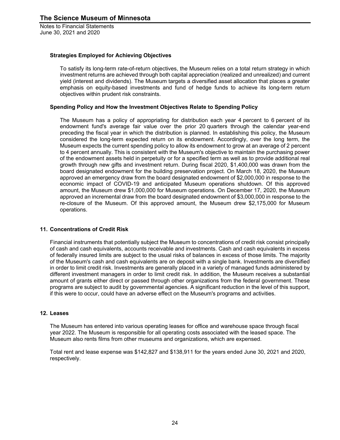#### **Strategies Employed for Achieving Objectives**

To satisfy its long-term rate-of-return objectives, the Museum relies on a total return strategy in which investment returns are achieved through both capital appreciation (realized and unrealized) and current yield (interest and dividends). The Museum targets a diversified asset allocation that places a greater emphasis on equity-based investments and fund of hedge funds to achieve its long-term return objectives within prudent risk constraints.

#### **Spending Policy and How the Investment Objectives Relate to Spending Policy**

The Museum has a policy of appropriating for distribution each year 4 percent to 6 percent of its endowment fund's average fair value over the prior 20 quarters through the calendar year-end preceding the fiscal year in which the distribution is planned. In establishing this policy, the Museum considered the long-term expected return on its endowment. Accordingly, over the long term, the Museum expects the current spending policy to allow its endowment to grow at an average of 2 percent to 4 percent annually. This is consistent with the Museum's objective to maintain the purchasing power of the endowment assets held in perpetuity or for a specified term as well as to provide additional real growth through new gifts and investment return. During fiscal 2020, \$1,400,000 was drawn from the board designated endowment for the building preservation project. On March 18, 2020, the Museum approved an emergency draw from the board designated endowment of \$2,000,000 in response to the economic impact of COVID-19 and anticipated Museum operations shutdown. Of this approved amount, the Museum drew \$1,000,000 for Museum operations. On December 17, 2020, the Museum approved an incremental draw from the board designated endowment of \$3,000,000 in response to the re-closure of the Museum. Of this approved amount, the Museum drew \$2,175,000 for Museum operations.

#### **11. Concentrations of Credit Risk**

Financial instruments that potentially subject the Museum to concentrations of credit risk consist principally of cash and cash equivalents, accounts receivable and investments. Cash and cash equivalents in excess of federally insured limits are subject to the usual risks of balances in excess of those limits. The majority of the Museum's cash and cash equivalents are on deposit with a single bank. Investments are diversified in order to limit credit risk. Investments are generally placed in a variety of managed funds administered by different investment managers in order to limit credit risk. In addition, the Museum receives a substantial amount of grants either direct or passed through other organizations from the federal government. These programs are subject to audit by governmental agencies. A significant reduction in the level of this support, if this were to occur, could have an adverse effect on the Museum's programs and activities.

#### **12. Leases**

The Museum has entered into various operating leases for office and warehouse space through fiscal year 2022. The Museum is responsible for all operating costs associated with the leased space. The Museum also rents films from other museums and organizations, which are expensed.

Total rent and lease expense was \$142,827 and \$138,911 for the years ended June 30, 2021 and 2020, respectively.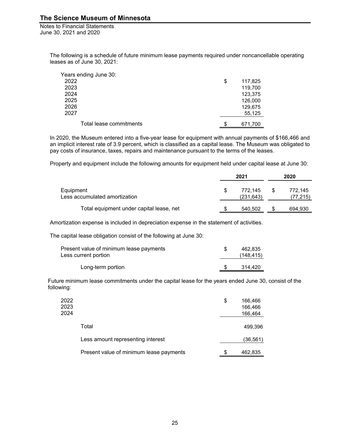Notes to Financial Statements June 30, 2021 and 2020

> The following is a schedule of future minimum lease payments required under noncancellable operating leases as of June 30, 2021:

| Years ending June 30:   |               |
|-------------------------|---------------|
| 2022                    | \$<br>117,825 |
| 2023                    | 119,700       |
| 2024                    | 123,375       |
| 2025                    | 126,000       |
| 2026                    | 129,675       |
| 2027                    | 55,125        |
| Total lease commitments | \$<br>671,700 |

In 2020, the Museum entered into a five-year lease for equipment with annual payments of \$166,466 and an implicit interest rate of 3.9 percent, which is classified as a capital lease. The Museum was obligated to pay costs of insurance, taxes, repairs and maintenance pursuant to the terms of the leases.

Property and equipment include the following amounts for equipment held under capital lease at June 30:

|                                            |   | 2021                  | 2020 |                     |  |
|--------------------------------------------|---|-----------------------|------|---------------------|--|
| Equipment<br>Less accumulated amortization | S | 772.145<br>(231, 643) | S    | 772.145<br>(77,215) |  |
| Total equipment under capital lease, net   |   | 540,502               |      | 694,930             |  |

Amortization expense is included in depreciation expense in the statement of activities.

The capital lease obligation consist of the following at June 30:

| Present value of minimum lease payments<br>Less current portion | 462.835<br>(148, 415) |
|-----------------------------------------------------------------|-----------------------|
| Long-term portion                                               | 314.420               |

Future minimum lease commitments under the capital lease for the years ended June 30, consist of the following:

| 2022<br>2023<br>2024 |                                         | \$ | 166,466<br>166,466<br>166,464 |
|----------------------|-----------------------------------------|----|-------------------------------|
|                      | Total                                   |    | 499,396                       |
|                      | Less amount representing interest       |    | (36,561)                      |
|                      | Present value of minimum lease payments | S. | 462,835                       |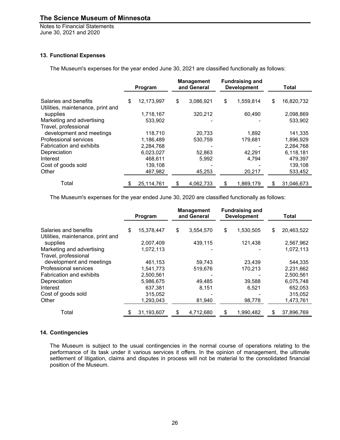Notes to Financial Statements June 30, 2021 and 2020

#### **13. Functional Expenses**

The Museum's expenses for the year ended June 30, 2021 are classified functionally as follows:

|                                                  | Program          | <b>Management</b><br>and General | <b>Fundraising and</b><br><b>Development</b> |           | Total            |  |
|--------------------------------------------------|------------------|----------------------------------|----------------------------------------------|-----------|------------------|--|
| Salaries and benefits                            | \$<br>12,173,997 | \$<br>3,086,921                  | \$                                           | 1.559.814 | \$<br>16,820,732 |  |
| Utilities, maintenance, print and<br>supplies    | 1,718,167        | 320,212                          |                                              | 60,490    | 2,098,869        |  |
| Marketing and advertising                        | 533,902          |                                  |                                              |           | 533,902          |  |
| Travel, professional<br>development and meetings | 118,710          | 20,733                           |                                              | 1,892     | 141,335          |  |
| <b>Professional services</b>                     | 1,186,489        | 530,759                          |                                              | 179,681   | 1,896,929        |  |
| Fabrication and exhibits                         | 2,284,768        |                                  |                                              |           | 2,284,768        |  |
| Depreciation                                     | 6.023.027        | 52,863                           |                                              | 42.291    | 6,118,181        |  |
| Interest                                         | 468,611          | 5,992                            |                                              | 4,794     | 479,397          |  |
| Cost of goods sold                               | 139,108          |                                  |                                              |           | 139,108          |  |
| Other                                            | 467,982          | 45,253                           |                                              | 20,217    | 533,452          |  |
| Total                                            | \$<br>25,114,761 | \$<br>4,062,733                  | S                                            | 1,869,179 | \$<br>31,046,673 |  |

The Museum's expenses for the year ended June 30, 2020 are classified functionally as follows:

|                                               | Program          |    | <b>Management</b><br>and General | <b>Fundraising and</b><br><b>Development</b> |           | <b>Total</b> |            |
|-----------------------------------------------|------------------|----|----------------------------------|----------------------------------------------|-----------|--------------|------------|
| Salaries and benefits                         | \$<br>15,378,447 | \$ | 3,554,570                        | \$                                           | 1,530,505 | \$           | 20,463,522 |
| Utilities, maintenance, print and<br>supplies | 2,007,409        |    | 439,115                          |                                              | 121,438   |              | 2,567,962  |
| Marketing and advertising                     | 1,072,113        |    |                                  |                                              |           |              | 1,072,113  |
| Travel, professional                          |                  |    |                                  |                                              |           |              |            |
| development and meetings                      | 461,153          |    | 59,743                           |                                              | 23,439    |              | 544,335    |
| <b>Professional services</b>                  | 1.541.773        |    | 519,676                          |                                              | 170,213   |              | 2,231,662  |
| Fabrication and exhibits                      | 2,500,561        |    |                                  |                                              |           |              | 2,500,561  |
| Depreciation                                  | 5,986,675        |    | 49,485                           |                                              | 39,588    |              | 6,075,748  |
| Interest                                      | 637,381          |    | 8,151                            |                                              | 6,521     |              | 652,053    |
| Cost of goods sold                            | 315,052          |    |                                  |                                              |           |              | 315,052    |
| Other                                         | 1,293,043        |    | 81,940                           |                                              | 98,778    |              | 1,473,761  |
| Total                                         | \$<br>31,193,607 | S  | 4,712,680                        | \$                                           | 1,990,482 | \$           | 37,896,769 |

#### **14. Contingencies**

The Museum is subject to the usual contingencies in the normal course of operations relating to the performance of its task under it various services it offers. In the opinion of management, the ultimate settlement of litigation, claims and disputes in process will not be material to the consolidated financial position of the Museum.